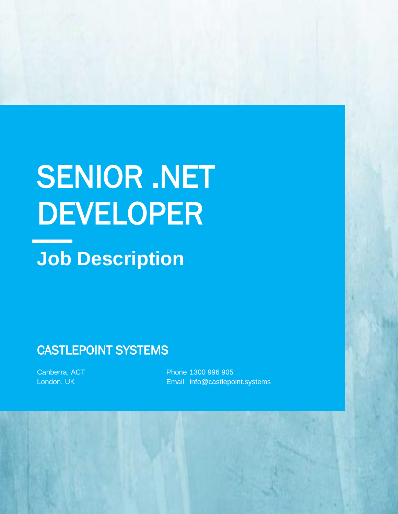# SENIOR .NET DEVELOPER

# **Job Description**

# CASTLEPOINT SYSTEMS

Canberra, ACT London, UK

Phone 1300 996 905 Email info@castlepoint.systems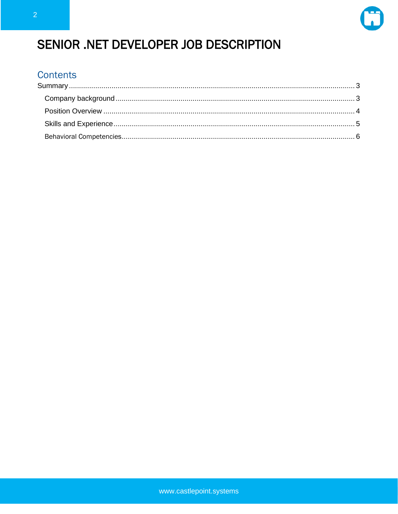

# SENIOR .NET DEVELOPER JOB DESCRIPTION

#### **Contents**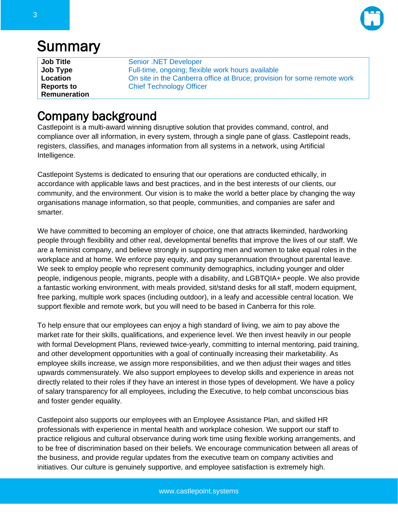

# <span id="page-2-0"></span>**Summary**

| <b>Job Title</b>    | Senior .NET Developer                                                   |
|---------------------|-------------------------------------------------------------------------|
| Job Type            | Full-time, ongoing; flexible work hours available                       |
| Location            | On site in the Canberra office at Bruce; provision for some remote work |
| <b>Reports to</b>   | <b>Chief Technology Officer</b>                                         |
| <b>Remuneration</b> |                                                                         |

## <span id="page-2-1"></span>Company background

Castlepoint is a multi-award winning disruptive solution that provides command, control, and compliance over all information, in every system, through a single pane of glass. Castlepoint reads, registers, classifies, and manages information from all systems in a network, using Artificial Intelligence.

Castlepoint Systems is dedicated to ensuring that our operations are conducted ethically, in accordance with applicable laws and best practices, and in the best interests of our clients, our community, and the environment. Our vision is to make the world a better place by changing the way organisations manage information, so that people, communities, and companies are safer and smarter.

We have committed to becoming an employer of choice, one that attracts likeminded, hardworking people through flexibility and other real, developmental benefits that improve the lives of our staff. We are a feminist company, and believe strongly in supporting men and women to take equal roles in the workplace and at home. We enforce pay equity, and pay superannuation throughout parental leave. We seek to employ people who represent community demographics, including younger and older people, indigenous people, migrants, people with a disability, and LGBTQIA+ people. We also provide a fantastic working environment, with meals provided, sit/stand desks for all staff, modern equipment, free parking, multiple work spaces (including outdoor), in a leafy and accessible central location. We support flexible and remote work, but you will need to be based in Canberra for this role.

To help ensure that our employees can enjoy a high standard of living, we aim to pay above the market rate for their skills, qualifications, and experience level. We then invest heavily in our people with formal Development Plans, reviewed twice-yearly, committing to internal mentoring, paid training, and other development opportunities with a goal of continually increasing their marketability. As employee skills increase, we assign more responsibilities, and we then adjust their wages and titles upwards commensurately. We also support employees to develop skills and experience in areas not directly related to their roles if they have an interest in those types of development. We have a policy of salary transparency for all employees, including the Executive, to help combat unconscious bias and foster gender equality.

Castlepoint also supports our employees with an Employee Assistance Plan, and skilled HR professionals with experience in mental health and workplace cohesion. We support our staff to practice religious and cultural observance during work time using flexible working arrangements, and to be free of discrimination based on their beliefs. We encourage communication between all areas of the business, and provide regular updates from the executive team on company activities and initiatives. Our culture is genuinely supportive, and employee satisfaction is extremely high.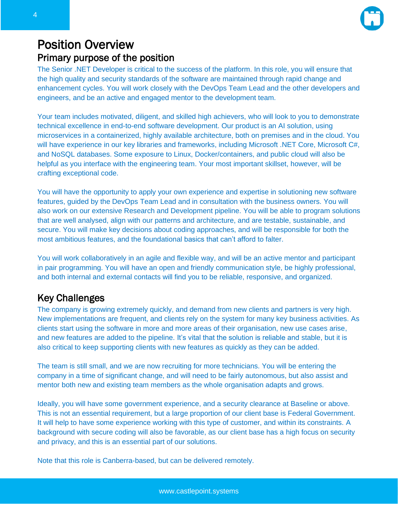

#### <span id="page-3-0"></span>Position Overview Primary purpose of the position

The Senior .NET Developer is critical to the success of the platform. In this role, you will ensure that the high quality and security standards of the software are maintained through rapid change and enhancement cycles. You will work closely with the DevOps Team Lead and the other developers and engineers, and be an active and engaged mentor to the development team.

Your team includes motivated, diligent, and skilled high achievers, who will look to you to demonstrate technical excellence in end-to-end software development. Our product is an AI solution, using microservices in a containerized, highly available architecture, both on premises and in the cloud. You will have experience in our key libraries and frameworks, including Microsoft .NET Core, Microsoft C#, and NoSQL databases. Some exposure to Linux, Docker/containers, and public cloud will also be helpful as you interface with the engineering team. Your most important skillset, however, will be crafting exceptional code.

You will have the opportunity to apply your own experience and expertise in solutioning new software features, guided by the DevOps Team Lead and in consultation with the business owners. You will also work on our extensive Research and Development pipeline. You will be able to program solutions that are well analysed, align with our patterns and architecture, and are testable, sustainable, and secure. You will make key decisions about coding approaches, and will be responsible for both the most ambitious features, and the foundational basics that can't afford to falter.

You will work collaboratively in an agile and flexible way, and will be an active mentor and participant in pair programming. You will have an open and friendly communication style, be highly professional, and both internal and external contacts will find you to be reliable, responsive, and organized.

#### Key Challenges

The company is growing extremely quickly, and demand from new clients and partners is very high. New implementations are frequent, and clients rely on the system for many key business activities. As clients start using the software in more and more areas of their organisation, new use cases arise, and new features are added to the pipeline. It's vital that the solution is reliable and stable, but it is also critical to keep supporting clients with new features as quickly as they can be added.

The team is still small, and we are now recruiting for more technicians. You will be entering the company in a time of significant change, and will need to be fairly autonomous, but also assist and mentor both new and existing team members as the whole organisation adapts and grows.

Ideally, you will have some government experience, and a security clearance at Baseline or above. This is not an essential requirement, but a large proportion of our client base is Federal Government. It will help to have some experience working with this type of customer, and within its constraints. A background with secure coding will also be favorable, as our client base has a high focus on security and privacy, and this is an essential part of our solutions.

Note that this role is Canberra-based, but can be delivered remotely.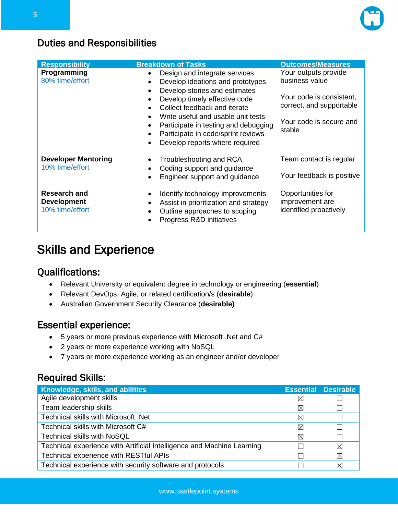

#### Duties and Responsibilities

| <b>Responsibility</b><br>Programming<br>80% time/effort      | <b>Breakdown of Tasks</b><br>Design and integrate services<br>$\bullet$<br>Develop ideations and prototypes<br>$\bullet$<br>Develop stories and estimates<br>$\bullet$<br>Develop timely effective code<br>$\bullet$<br>Collect feedback and iterate<br>$\bullet$<br>Write useful and usable unit tests<br>$\bullet$<br>Participate in testing and debugging<br>$\bullet$ | <b>Outcomes/Measures</b><br>Your outputs provide<br>business value<br>Your code is consistent,<br>correct, and supportable<br>Your code is secure and |  |
|--------------------------------------------------------------|---------------------------------------------------------------------------------------------------------------------------------------------------------------------------------------------------------------------------------------------------------------------------------------------------------------------------------------------------------------------------|-------------------------------------------------------------------------------------------------------------------------------------------------------|--|
| <b>Developer Mentoring</b><br>10% time/effort                | Participate in code/sprint reviews<br>$\bullet$<br>Develop reports where required<br>$\bullet$<br>Troubleshooting and RCA<br>٠<br>Coding support and guidance<br>$\bullet$<br>Engineer support and guidance<br>$\bullet$                                                                                                                                                  | stable<br>Team contact is regular<br>Your feedback is positive                                                                                        |  |
| <b>Research and</b><br><b>Development</b><br>10% time/effort | Identify technology improvements<br>٠<br>Assist in prioritization and strategy<br>$\bullet$<br>Outline approaches to scoping<br>$\bullet$<br>Progress R&D initiatives                                                                                                                                                                                                     | Opportunities for<br>improvement are<br>identified proactively                                                                                        |  |

## <span id="page-4-0"></span>Skills and Experience

#### Qualifications:

- Relevant University or equivalent degree in technology or engineering (**essential**)
- Relevant DevOps, Agile, or related certification/s (**desirable**)
- Australian Government Security Clearance (**desirable)**

#### Essential experience:

- 5 years or more previous experience with Microsoft .Net and C#
- 2 years or more experience working with NoSQL
- 7 years or more experience working as an engineer and/or developer

#### Required Skills:

| Knowledge, skills, and abilities                                       |          | <b>Essential Desirable</b> |
|------------------------------------------------------------------------|----------|----------------------------|
| Agile development skills                                               | $\times$ |                            |
| Team leadership skills                                                 | $\times$ |                            |
| Technical skills with Microsoft .Net                                   | $\times$ |                            |
| Technical skills with Microsoft C#                                     | ⋉        |                            |
| <b>Technical skills with NoSQL</b>                                     | $\times$ |                            |
| Technical experience with Artificial Intelligence and Machine Learning |          | ⊠                          |
| Technical experience with RESTful APIs                                 |          | ⊠                          |
| Technical experience with security software and protocols              |          | ⊠                          |